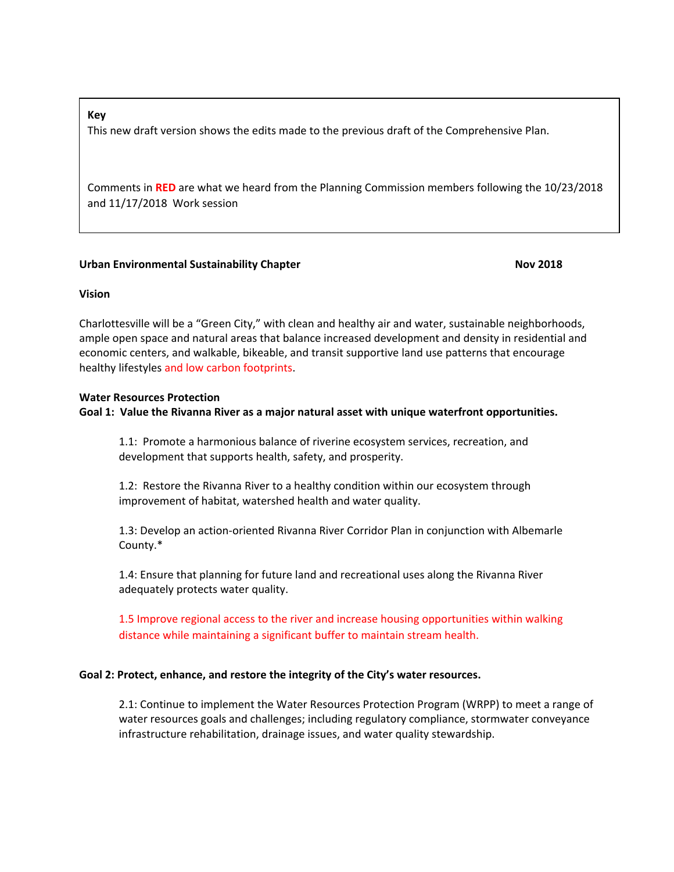### **Key**

This new draft version shows the edits made to the previous draft of the Comprehensive Plan.

Comments in **RED** are what we heard from the Planning Commission members following the 10/23/2018 and 11/17/2018 Work session

# **Urban Environmental Sustainability Chapter Novally 1998 12018**

# **Vision**

Charlottesville will be a "Green City," with clean and healthy air and water, sustainable neighborhoods, ample open space and natural areas that balance increased development and density in residential and economic centers, and walkable, bikeable, and transit supportive land use patterns that encourage healthy lifestyles and low carbon footprints.

### **Water Resources Protection**

# **Goal 1: Value the Rivanna River as a major natural asset with unique waterfront opportunities.**

1.1: Promote a harmonious balance of riverine ecosystem services, recreation, and development that supports health, safety, and prosperity.

1.2: Restore the Rivanna River to a healthy condition within our ecosystem through improvement of habitat, watershed health and water quality.

1.3: Develop an action-oriented Rivanna River Corridor Plan in conjunction with Albemarle County.\*

1.4: Ensure that planning for future land and recreational uses along the Rivanna River adequately protects water quality.

1.5 Improve regional access to the river and increase housing opportunities within walking distance while maintaining a significant buffer to maintain stream health.

# **Goal 2: Protect, enhance, and restore the integrity of the City's water resources.**

2.1: Continue to implement the Water Resources Protection Program (WRPP) to meet a range of water resources goals and challenges; including regulatory compliance, stormwater conveyance infrastructure rehabilitation, drainage issues, and water quality stewardship.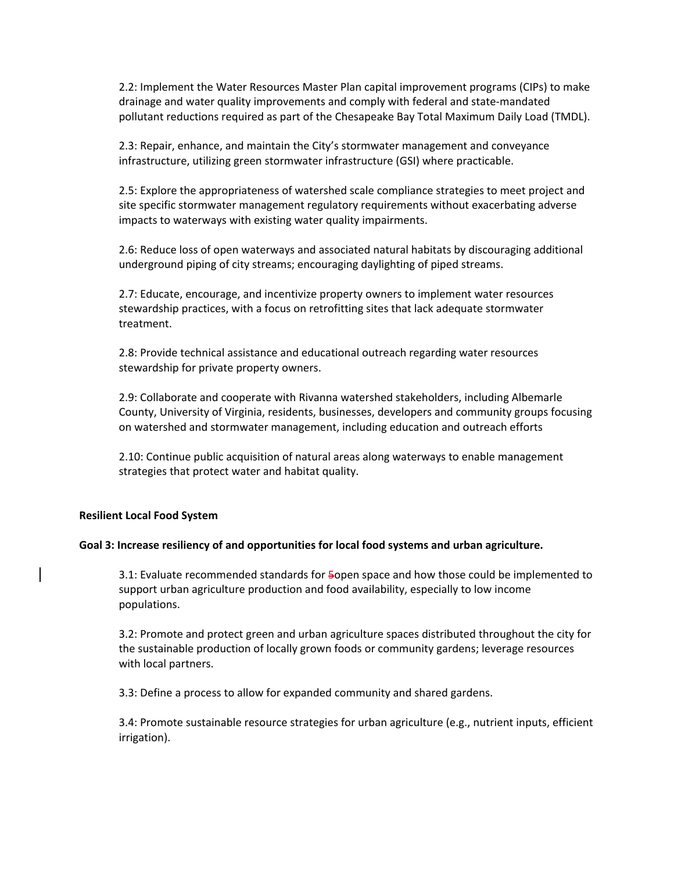2.2: Implement the Water Resources Master Plan capital improvement programs (CIPs) to make drainage and water quality improvements and comply with federal and state-mandated pollutant reductions required as part of the Chesapeake Bay Total Maximum Daily Load (TMDL).

2.3: Repair, enhance, and maintain the City's stormwater management and conveyance infrastructure, utilizing green stormwater infrastructure (GSI) where practicable.

2.5: Explore the appropriateness of watershed scale compliance strategies to meet project and site specific stormwater management regulatory requirements without exacerbating adverse impacts to waterways with existing water quality impairments.

2.6: Reduce loss of open waterways and associated natural habitats by discouraging additional underground piping of city streams; encouraging daylighting of piped streams.

2.7: Educate, encourage, and incentivize property owners to implement water resources stewardship practices, with a focus on retrofitting sites that lack adequate stormwater treatment.

2.8: Provide technical assistance and educational outreach regarding water resources stewardship for private property owners.

2.9: Collaborate and cooperate with Rivanna watershed stakeholders, including Albemarle County, University of Virginia, residents, businesses, developers and community groups focusing on watershed and stormwater management, including education and outreach efforts

2.10: Continue public acquisition of natural areas along waterways to enable management strategies that protect water and habitat quality.

### **Resilient Local Food System**

#### **Goal 3: Increase resiliency of and opportunities for local food systems and urban agriculture.**

3.1: Evaluate recommended standards for 5open space and how those could be implemented to support urban agriculture production and food availability, especially to low income populations.

3.2: Promote and protect green and urban agriculture spaces distributed throughout the city for the sustainable production of locally grown foods or community gardens; leverage resources with local partners.

3.3: Define a process to allow for expanded community and shared gardens.

3.4: Promote sustainable resource strategies for urban agriculture (e.g., nutrient inputs, efficient irrigation).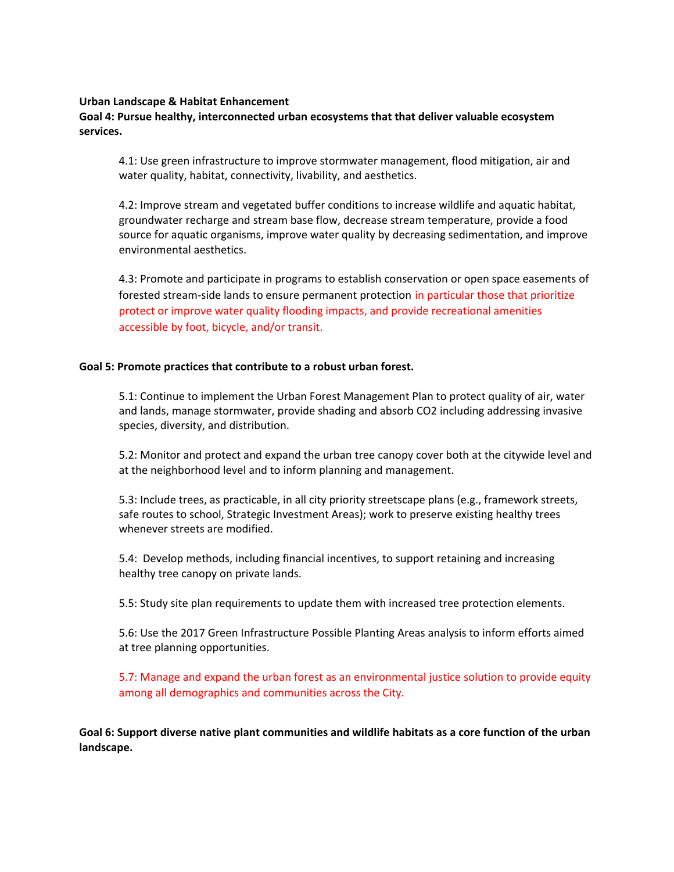### **Urban Landscape & Habitat Enhancement**

# **Goal 4: Pursue healthy, interconnected urban ecosystems that that deliver valuable ecosystem services.**

4.1: Use green infrastructure to improve stormwater management, flood mitigation, air and water quality, habitat, connectivity, livability, and aesthetics.

4.2: Improve stream and vegetated buffer conditions to increase wildlife and aquatic habitat, groundwater recharge and stream base flow, decrease stream temperature, provide a food source for aquatic organisms, improve water quality by decreasing sedimentation, and improve environmental aesthetics.

4.3: Promote and participate in programs to establish conservation or open space easements of forested stream-side lands to ensure permanent protection in particular those that prioritize protect or improve water quality flooding impacts, and provide recreational amenities accessible by foot, bicycle, and/or transit.

# **Goal 5: Promote practices that contribute to a robust urban forest.**

5.1: Continue to implement the Urban Forest Management Plan to protect quality of air, water and lands, manage stormwater, provide shading and absorb CO2 including addressing invasive species, diversity, and distribution.

5.2: Monitor and protect and expand the urban tree canopy cover both at the citywide level and at the neighborhood level and to inform planning and management.

5.3: Include trees, as practicable, in all city priority streetscape plans (e.g., framework streets, safe routes to school, Strategic Investment Areas); work to preserve existing healthy trees whenever streets are modified.

5.4: Develop methods, including financial incentives, to support retaining and increasing healthy tree canopy on private lands.

5.5: Study site plan requirements to update them with increased tree protection elements.

5.6: Use the 2017 Green Infrastructure Possible Planting Areas analysis to inform efforts aimed at tree planning opportunities.

5.7: Manage and expand the urban forest as an environmental justice solution to provide equity among all demographics and communities across the City.

**Goal 6: Support diverse native plant communities and wildlife habitats as a core function of the urban landscape.**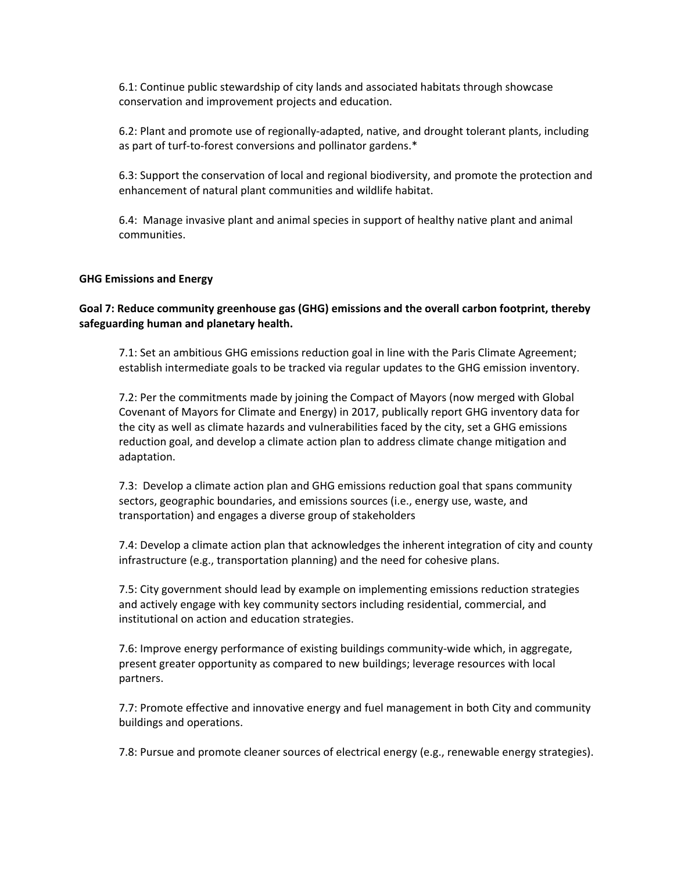6.1: Continue public stewardship of city lands and associated habitats through showcase conservation and improvement projects and education.

6.2: Plant and promote use of regionally-adapted, native, and drought tolerant plants, including as part of turf-to-forest conversions and pollinator gardens.\*

6.3: Support the conservation of local and regional biodiversity, and promote the protection and enhancement of natural plant communities and wildlife habitat.

6.4: Manage invasive plant and animal species in support of healthy native plant and animal communities.

### **GHG Emissions and Energy**

# **Goal 7: Reduce community greenhouse gas (GHG) emissions and the overall carbon footprint, thereby safeguarding human and planetary health.**

7.1: Set an ambitious GHG emissions reduction goal in line with the Paris Climate Agreement; establish intermediate goals to be tracked via regular updates to the GHG emission inventory.

7.2: Per the commitments made by joining the Compact of Mayors (now merged with Global Covenant of Mayors for Climate and Energy) in 2017, publically report GHG inventory data for the city as well as climate hazards and vulnerabilities faced by the city, set a GHG emissions reduction goal, and develop a climate action plan to address climate change mitigation and adaptation.

7.3: Develop a climate action plan and GHG emissions reduction goal that spans community sectors, geographic boundaries, and emissions sources (i.e., energy use, waste, and transportation) and engages a diverse group of stakeholders

7.4: Develop a climate action plan that acknowledges the inherent integration of city and county infrastructure (e.g., transportation planning) and the need for cohesive plans.

7.5: City government should lead by example on implementing emissions reduction strategies and actively engage with key community sectors including residential, commercial, and institutional on action and education strategies.

7.6: Improve energy performance of existing buildings community-wide which, in aggregate, present greater opportunity as compared to new buildings; leverage resources with local partners.

7.7: Promote effective and innovative energy and fuel management in both City and community buildings and operations.

7.8: Pursue and promote cleaner sources of electrical energy (e.g., renewable energy strategies).